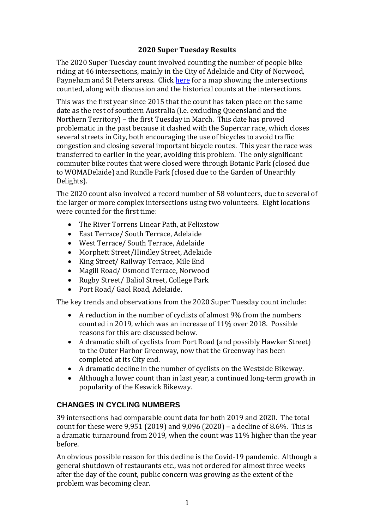### **2020 Super Tuesday Results**

The 2020 Super Tuesday count involved counting the number of people bike riding at 46 intersections, mainly in the City of Adelaide and City of Norwood, Payneham and St Peters areas. Click [here](https://www.google.com/maps/d/u/1/embed?mid=1t1JpmJQ3L9-q86-FqGc_JVn_PzYO5bDJ) for a map showing the intersections counted, along with discussion and the historical counts at the intersections.

This was the first year since 2015 that the count has taken place on the same date as the rest of southern Australia (i.e. excluding Queensland and the Northern Territory) – the first Tuesday in March. This date has proved problematic in the past because it clashed with the Supercar race, which closes several streets in City, both encouraging the use of bicycles to avoid traffic congestion and closing several important bicycle routes. This year the race was transferred to earlier in the year, avoiding this problem. The only significant commuter bike routes that were closed were through Botanic Park (closed due to WOMADelaide) and Rundle Park (closed due to the Garden of Unearthly Delights).

The 2020 count also involved a record number of 58 volunteers, due to several of the larger or more complex intersections using two volunteers. Eight locations were counted for the first time:

- The River Torrens Linear Path, at Felixstow
- East Terrace/ South Terrace, Adelaide
- West Terrace/ South Terrace, Adelaide
- Morphett Street/Hindley Street, Adelaide
- King Street/ Railway Terrace, Mile End
- Magill Road/ Osmond Terrace, Norwood
- Rugby Street/ Baliol Street, College Park
- Port Road/ Gaol Road, Adelaide.

The key trends and observations from the 2020 Super Tuesday count include:

- A reduction in the number of cyclists of almost 9% from the numbers counted in 2019, which was an increase of 11% over 2018. Possible reasons for this are discussed below.
- A dramatic shift of cyclists from Port Road (and possibly Hawker Street) to the Outer Harbor Greenway, now that the Greenway has been completed at its City end.
- A dramatic decline in the number of cyclists on the Westside Bikeway.
- Although a lower count than in last year, a continued long-term growth in popularity of the Keswick Bikeway.

# **CHANGES IN CYCLING NUMBERS**

39 intersections had comparable count data for both 2019 and 2020. The total count for these were 9,951 (2019) and 9,096 (2020) – a decline of 8.6%. This is a dramatic turnaround from 2019, when the count was 11% higher than the year before.

An obvious possible reason for this decline is the Covid-19 pandemic. Although a general shutdown of restaurants etc., was not ordered for almost three weeks after the day of the count, public concern was growing as the extent of the problem was becoming clear.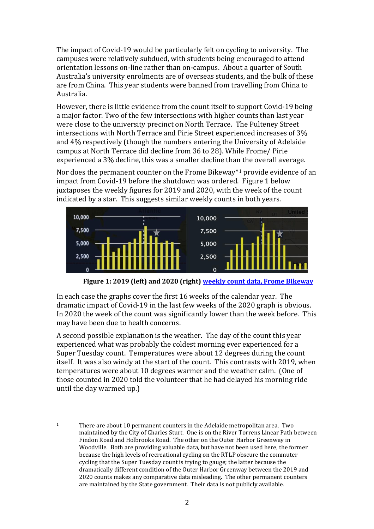The impact of Covid-19 would be particularly felt on cycling to university. The campuses were relatively subdued, with students being encouraged to attend orientation lessons on-line rather than on-campus. About a quarter of South Australia's university enrolments are of overseas students, and the bulk of these are from China. This year students were banned from travelling from China to Australia.

However, there is little evidence from the count itself to support Covid-19 being a major factor. Two of the few intersections with higher counts than last year were close to the university precinct on North Terrace. The Pulteney Street intersections with North Terrace and Pirie Street experienced increases of 3% and 4% respectively (though the numbers entering the University of Adelaide campus at North Terrace did decline from 36 to 28). While Frome/ Pirie experienced a 3% decline, this was a smaller decline than the overall average.

Nor does the permanent counter on the Frome Bikeway\* <sup>1</sup> provide evidence of an impact from Covid-19 before the shutdown was ordered. Figure 1 below juxtaposes the weekly figures for 2019 and 2020, with the week of the count indicated by a star. This suggests similar weekly counts in both years.



**Figure 1: 2019 (left) and 2020 (right[\) weekly count data, Frome Bikeway](http://data.eco-counter.com/ParcPublic/?id=4586&fbclid=IwAR2EVytyjCpmmcYPZ9f7cYDrVHEw90nfhEXH-2xPGkYk0aOtt3xiZSl29RU)**

In each case the graphs cover the first 16 weeks of the calendar year. The dramatic impact of Covid-19 in the last few weeks of the 2020 graph is obvious. In 2020 the week of the count was significantly lower than the week before. This may have been due to health concerns.

A second possible explanation is the weather. The day of the count this year experienced what was probably the coldest morning ever experienced for a Super Tuesday count. Temperatures were about 12 degrees during the count itself. It was also windy at the start of the count. This contrasts with 2019, when temperatures were about 10 degrees warmer and the weather calm. (One of those counted in 2020 told the volunteer that he had delayed his morning ride until the day warmed up.)

 $\overline{a}$ <sup>1</sup> There are about 10 permanent counters in the Adelaide metropolitan area. Two maintained by the City of Charles Sturt. One is on the River Torrens Linear Path between Findon Road and Holbrooks Road. The other on the Outer Harbor Greenway in Woodville. Both are providing valuable data, but have not been used here, the former because the high levels of recreational cycling on the RTLP obscure the commuter cycling that the Super Tuesday count is trying to gauge; the latter because the dramatically different condition of the Outer Harbor Greenway between the 2019 and 2020 counts makes any comparative data misleading. The other permanent counters are maintained by the State government. Their data is not publicly available.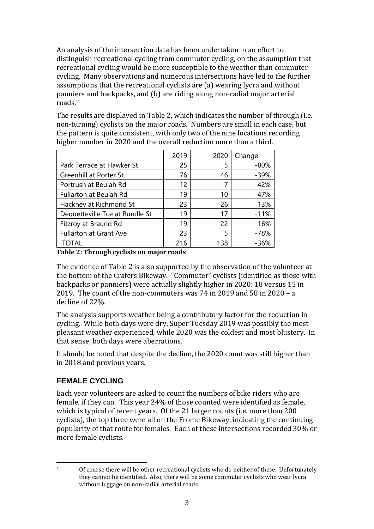An analysis of the intersection data has been undertaken in an effort to distinguish recreational cycling from commuter cycling, on the assumption that recreational cycling would be more susceptible to the weather than commuter cycling. Many observations and numerous intersections have led to the further assumptions that the recreational cyclists are (a) wearing lycra and without panniers and backpacks, and (b) are riding along non-radial major arterial roads.<sup>2</sup>

The results are displayed in Table 2, which indicates the number of through (i.e. non-turning) cyclists on the major roads. Numbers are small in each case, but the pattern is quite consistent, with only two of the nine locations recording higher number in 2020 and the overall reduction more than a third.

|                                | 2019 | 2020 | Change |
|--------------------------------|------|------|--------|
| Park Terrace at Hawker St      | 25   | 5    | $-80%$ |
| <b>Greenhill at Porter St</b>  | 76   | 46   | $-39%$ |
| Portrush at Beulah Rd          | 12   | 7    | $-42%$ |
| Fullarton at Beulah Rd         | 19   | 10   | $-47%$ |
| Hackney at Richmond St         | 23   | 26   | 13%    |
| Dequetteville Tce at Rundle St | 19   | 17   | $-11%$ |
| Fitzroy at Braund Rd           | 19   | 22   | 16%    |
| <b>Fullarton at Grant Ave</b>  | 23   | 5    | $-78%$ |
| TOTAL                          | 216  | 138  | -36%   |

**Table 2: Through cyclists on major roads**

The evidence of Table 2 is also supported by the observation of the volunteer at the bottom of the Crafers Bikeway. "Commuter" cyclists (identified as those with backpacks or panniers) were actually slightly higher in 2020: 18 versus 15 in 2019. The count of the non-commuters was 74 in 2019 and 58 in 2020 – a decline of 22%.

The analysis supports weather being a contributory factor for the reduction in cycling. While both days were dry, Super Tuesday 2019 was possibly the most pleasant weather experienced, while 2020 was the coldest and most blustery. In that sense, both days were aberrations.

It should be noted that despite the decline, the 2020 count was still higher than in 2018 and previous years.

## **FEMALE CYCLING**

Each year volunteers are asked to count the numbers of bike riders who are female, if they can. This year 24% of those counted were identified as female, which is typical of recent years. Of the 21 larger counts (i.e. more than 200 cyclists), the top three were all on the Frome Bikeway, indicating the continuing popularity of that route for females. Each of these intersections recorded 30% or more female cyclists.

 $\overline{\phantom{a}}$ 

<sup>&</sup>lt;sup>2</sup> Of course there will be other recreational cyclists who do neither of these. Unfortunately they cannot be identified. Also, there will be some commuter cyclists who wear lycra without luggage on non-radial arterial roads.